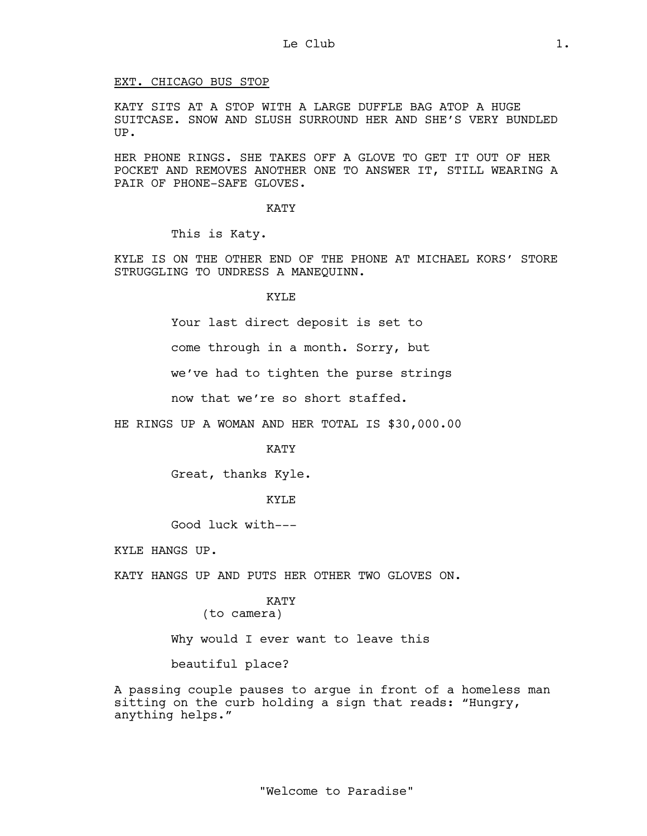## EXT. CHICAGO BUS STOP

KATY SITS AT A STOP WITH A LARGE DUFFLE BAG ATOP A HUGE SUITCASE. SNOW AND SLUSH SURROUND HER AND SHE'S VERY BUNDLED UP.

HER PHONE RINGS. SHE TAKES OFF A GLOVE TO GET IT OUT OF HER POCKET AND REMOVES ANOTHER ONE TO ANSWER IT, STILL WEARING A PAIR OF PHONE-SAFE GLOVES.

KATY

This is Katy.

KYLE IS ON THE OTHER END OF THE PHONE AT MICHAEL KORS' STORE STRUGGLING TO UNDRESS A MANEQUINN.

KYLE

Your last direct deposit is set to

come through in a month. Sorry, but

we've had to tighten the purse strings

now that we're so short staffed.

HE RINGS UP A WOMAN AND HER TOTAL IS \$30,000.00

KATY

Great, thanks Kyle.

KYLE

Good luck with---

KYLE HANGS UP.

KATY HANGS UP AND PUTS HER OTHER TWO GLOVES ON.

KATY

(to camera)

Why would I ever want to leave this

beautiful place?

A passing couple pauses to argue in front of a homeless man sitting on the curb holding a sign that reads: "Hungry, anything helps."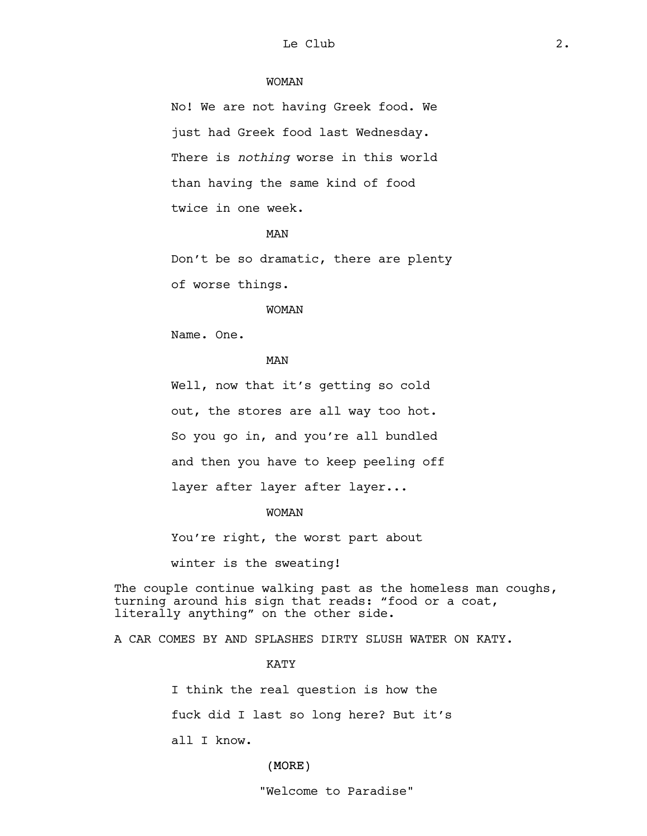## WOMAN

No! We are not having Greek food. We just had Greek food last Wednesday. There is *nothing* worse in this world than having the same kind of food twice in one week.

#### MAN

Don't be so dramatic, there are plenty of worse things.

#### WOMAN

Name. One.

## MAN

Well, now that it's getting so cold out, the stores are all way too hot. So you go in, and you're all bundled and then you have to keep peeling off layer after layer after layer...

#### WOMAN

You're right, the worst part about

winter is the sweating!

The couple continue walking past as the homeless man coughs, turning around his sign that reads: "food or a coat, literally anything" on the other side.

A CAR COMES BY AND SPLASHES DIRTY SLUSH WATER ON KATY.

KATY

I think the real question is how the

fuck did I last so long here? But it's

all I know.

## (MORE)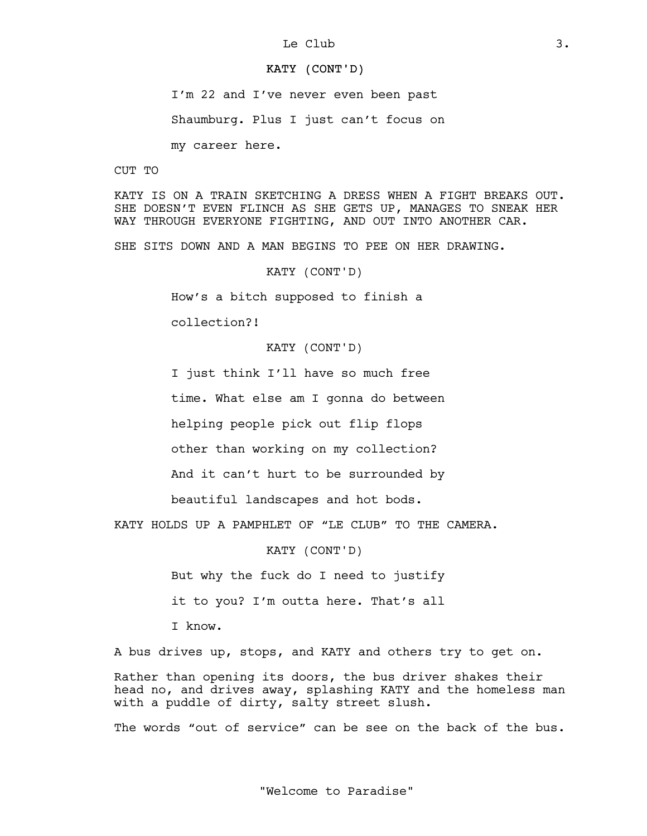### KATY (CONT'D)

I'm 22 and I've never even been past

Shaumburg. Plus I just can't focus on

my career here.

CUT TO

KATY IS ON A TRAIN SKETCHING A DRESS WHEN A FIGHT BREAKS OUT. SHE DOESN'T EVEN FLINCH AS SHE GETS UP, MANAGES TO SNEAK HER WAY THROUGH EVERYONE FIGHTING, AND OUT INTO ANOTHER CAR.

SHE SITS DOWN AND A MAN BEGINS TO PEE ON HER DRAWING.

KATY (CONT'D)

How's a bitch supposed to finish a

collection?!

KATY (CONT'D)

I just think I'll have so much free

time. What else am I gonna do between

helping people pick out flip flops

other than working on my collection?

And it can't hurt to be surrounded by

beautiful landscapes and hot bods.

KATY HOLDS UP A PAMPHLET OF "LE CLUB" TO THE CAMERA.

KATY (CONT'D)

But why the fuck do I need to justify

it to you? I'm outta here. That's all

I know.

A bus drives up, stops, and KATY and others try to get on.

Rather than opening its doors, the bus driver shakes their head no, and drives away, splashing KATY and the homeless man with a puddle of dirty, salty street slush.

The words "out of service" can be see on the back of the bus.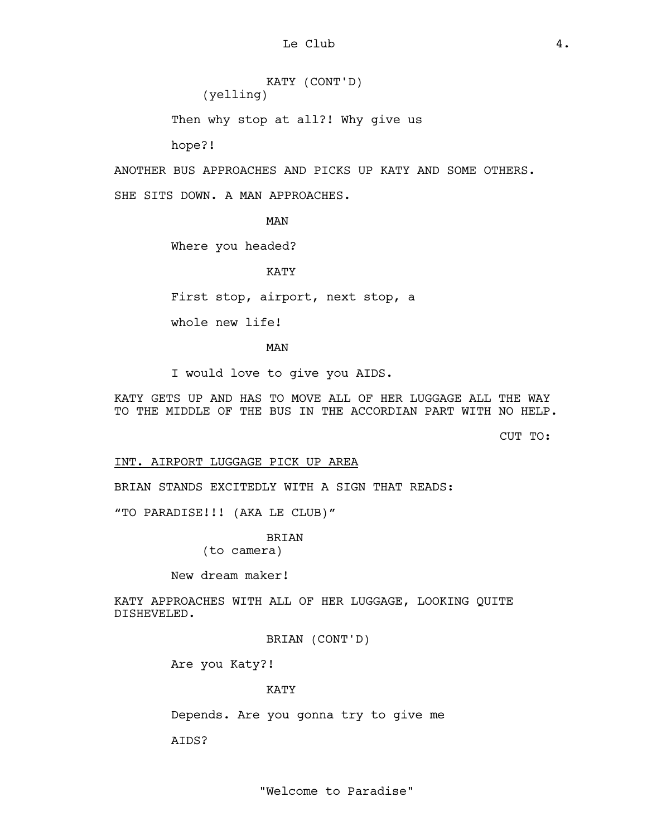KATY (CONT'D) (yelling)

Then why stop at all?! Why give us

hope?!

ANOTHER BUS APPROACHES AND PICKS UP KATY AND SOME OTHERS.

SHE SITS DOWN. A MAN APPROACHES.

MAN

Where you headed?

KATY

First stop, airport, next stop, a

whole new life!

MAN

I would love to give you AIDS.

KATY GETS UP AND HAS TO MOVE ALL OF HER LUGGAGE ALL THE WAY TO THE MIDDLE OF THE BUS IN THE ACCORDIAN PART WITH NO HELP.

CUT TO:

INT. AIRPORT LUGGAGE PICK UP AREA

BRIAN STANDS EXCITEDLY WITH A SIGN THAT READS:

"TO PARADISE!!! (AKA LE CLUB)"

BRIAN

(to camera)

New dream maker!

KATY APPROACHES WITH ALL OF HER LUGGAGE, LOOKING QUITE DISHEVELED.

BRIAN (CONT'D)

Are you Katy?!

KATY

Depends. Are you gonna try to give me

AIDS?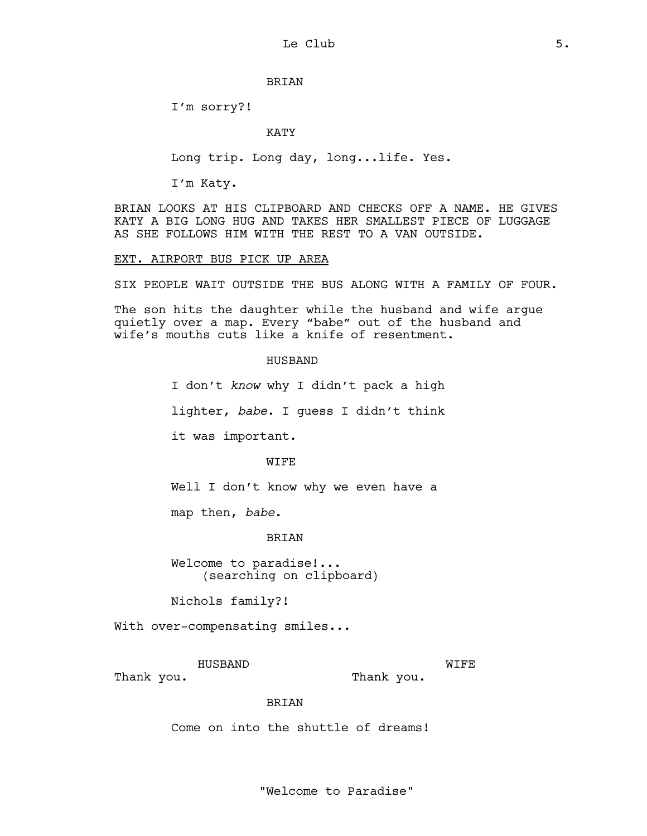## BRIAN

I'm sorry?!

#### KATY

Long trip. Long day, long...life. Yes.

I'm Katy.

BRIAN LOOKS AT HIS CLIPBOARD AND CHECKS OFF A NAME. HE GIVES KATY A BIG LONG HUG AND TAKES HER SMALLEST PIECE OF LUGGAGE AS SHE FOLLOWS HIM WITH THE REST TO A VAN OUTSIDE.

#### EXT. AIRPORT BUS PICK UP AREA

SIX PEOPLE WAIT OUTSIDE THE BUS ALONG WITH A FAMILY OF FOUR.

The son hits the daughter while the husband and wife argue quietly over a map. Every "babe" out of the husband and wife's mouths cuts like a knife of resentment.

## HUSBAND

I don't *know* why I didn't pack a high

lighter, *babe*. I guess I didn't think

it was important.

#### WIFE

Well I don't know why we even have a

map then, *babe*.

#### BRIAN

Welcome to paradise!... (searching on clipboard)

Nichols family?!

With over-compensating smiles...

HUSBAND

Thank you.

**WIFE** Thank you.

#### BRIAN

Come on into the shuttle of dreams!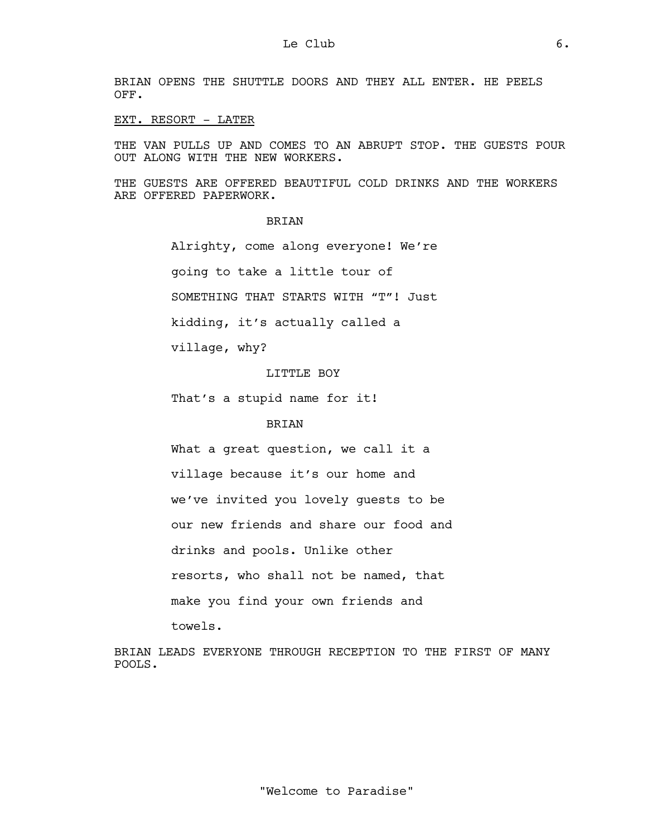BRIAN OPENS THE SHUTTLE DOORS AND THEY ALL ENTER. HE PEELS OFF.

#### EXT. RESORT - LATER

THE VAN PULLS UP AND COMES TO AN ABRUPT STOP. THE GUESTS POUR OUT ALONG WITH THE NEW WORKERS.

THE GUESTS ARE OFFERED BEAUTIFUL COLD DRINKS AND THE WORKERS ARE OFFERED PAPERWORK.

## **BRIAN**

Alrighty, come along everyone! We're going to take a little tour of SOMETHING THAT STARTS WITH "T"! Just

kidding, it's actually called a

village, why?

LITTLE BOY

That's a stupid name for it!

# BRIAN

What a great question, we call it a village because it's our home and we've invited you lovely guests to be our new friends and share our food and drinks and pools. Unlike other resorts, who shall not be named, that make you find your own friends and

towels.

BRIAN LEADS EVERYONE THROUGH RECEPTION TO THE FIRST OF MANY POOLS.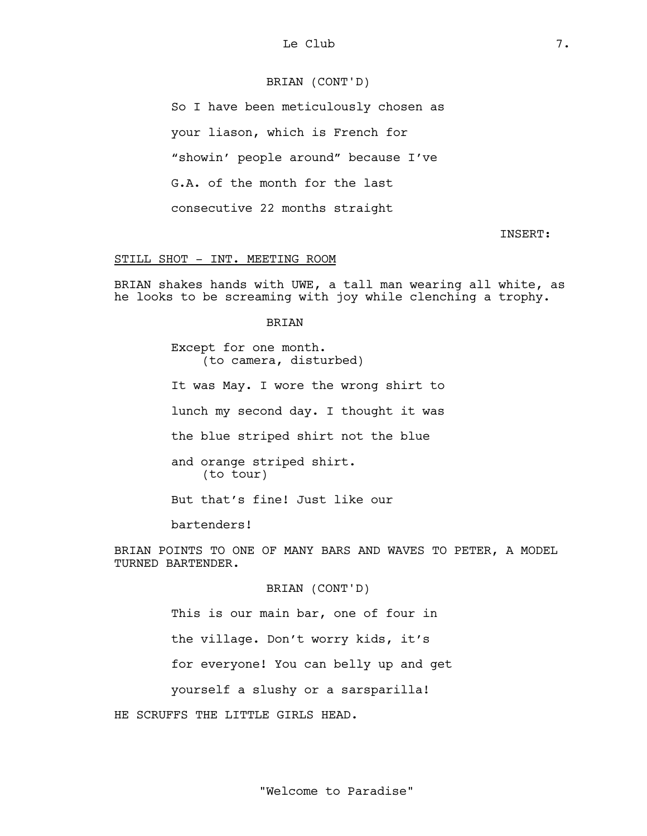# BRIAN (CONT'D)

So I have been meticulously chosen as your liason, which is French for "showin' people around" because I've G.A. of the month for the last consecutive 22 months straight

INSERT:

#### STILL SHOT - INT. MEETING ROOM

BRIAN shakes hands with UWE, a tall man wearing all white, as he looks to be screaming with joy while clenching a trophy.

#### BRIAN

Except for one month. (to camera, disturbed)

It was May. I wore the wrong shirt to

lunch my second day. I thought it was

the blue striped shirt not the blue

and orange striped shirt. (to tour)

But that's fine! Just like our

bartenders!

BRIAN POINTS TO ONE OF MANY BARS AND WAVES TO PETER, A MODEL TURNED BARTENDER.

BRIAN (CONT'D)

This is our main bar, one of four in

the village. Don't worry kids, it's

for everyone! You can belly up and get

yourself a slushy or a sarsparilla!

HE SCRUFFS THE LITTLE GIRLS HEAD.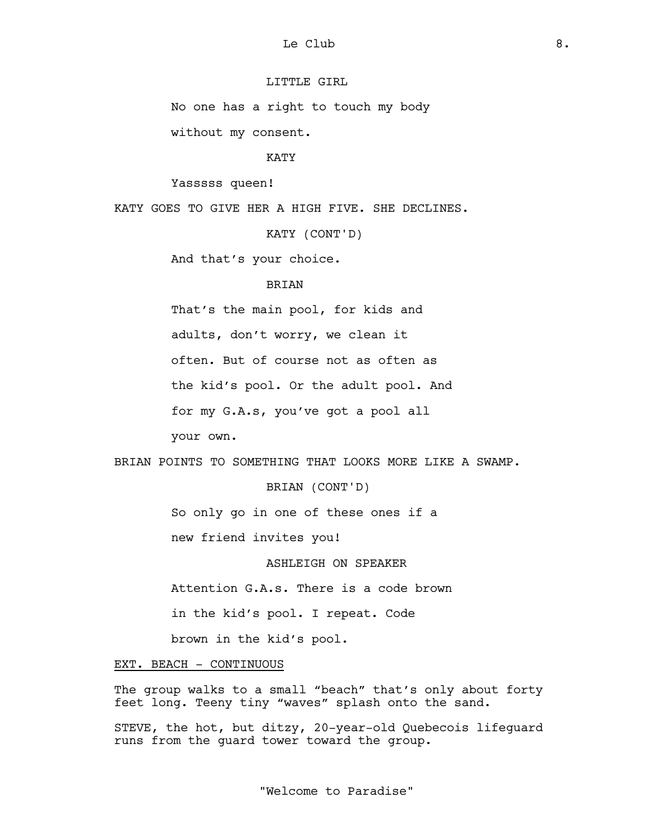# LITTLE GIRL

No one has a right to touch my body

without my consent.

#### KATY

Yasssss queen!

KATY GOES TO GIVE HER A HIGH FIVE. SHE DECLINES.

KATY (CONT'D)

And that's your choice.

## BRIAN

That's the main pool, for kids and

adults, don't worry, we clean it

often. But of course not as often as

the kid's pool. Or the adult pool. And

for my G.A.s, you've got a pool all

your own.

BRIAN POINTS TO SOMETHING THAT LOOKS MORE LIKE A SWAMP.

## BRIAN (CONT'D)

So only go in one of these ones if a

new friend invites you!

## ASHLEIGH ON SPEAKER

Attention G.A.s. There is a code brown in the kid's pool. I repeat. Code

brown in the kid's pool.

#### EXT. BEACH - CONTINUOUS

The group walks to a small "beach" that's only about forty feet long. Teeny tiny "waves" splash onto the sand.

STEVE, the hot, but ditzy, 20-year-old Quebecois lifeguard runs from the guard tower toward the group.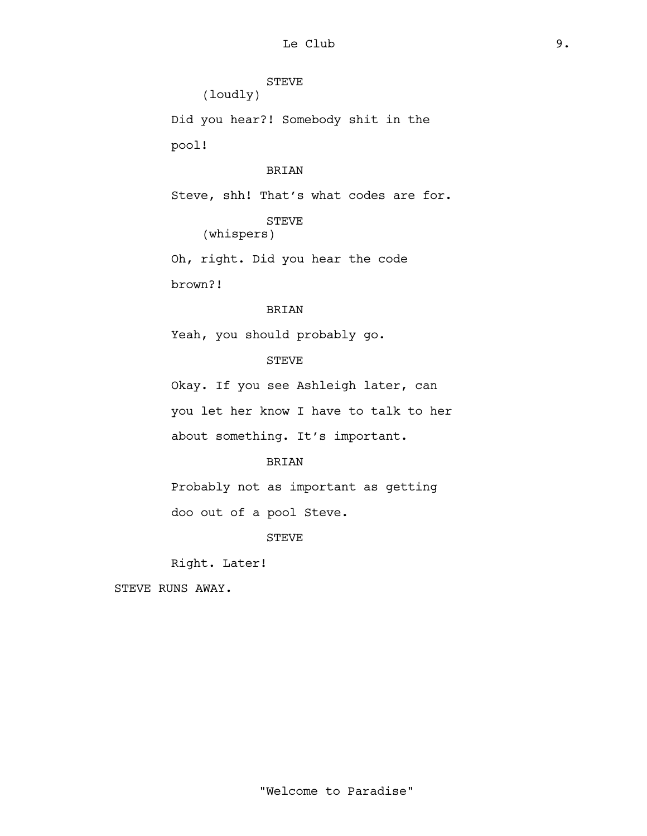STEVE (loudly)

Did you hear?! Somebody shit in the pool!

# BRIAN

Steve, shh! That's what codes are for.

STEVE (whispers)

Oh, right. Did you hear the code brown?!

# BRIAN

Yeah, you should probably go.

# STEVE

Okay. If you see Ashleigh later, can you let her know I have to talk to her about something. It's important.

# BRIAN

Probably not as important as getting

doo out of a pool Steve.

STEVE

Right. Later!

STEVE RUNS AWAY.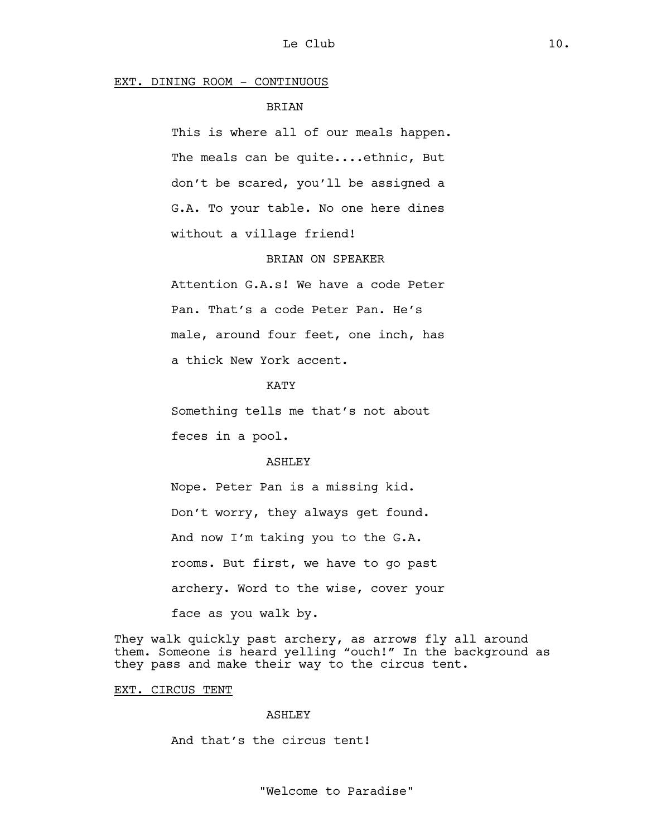#### EXT. DINING ROOM - CONTINUOUS

## BRIAN

This is where all of our meals happen. The meals can be quite....ethnic, But don't be scared, you'll be assigned a G.A. To your table. No one here dines without a village friend!

## BRIAN ON SPEAKER

Attention G.A.s! We have a code Peter Pan. That's a code Peter Pan. He's male, around four feet, one inch, has a thick New York accent.

KATY

Something tells me that's not about feces in a pool.

#### **ASHLEY**

Nope. Peter Pan is a missing kid. Don't worry, they always get found. And now I'm taking you to the G.A. rooms. But first, we have to go past archery. Word to the wise, cover your face as you walk by.

They walk quickly past archery, as arrows fly all around them. Someone is heard yelling "ouch!" In the background as they pass and make their way to the circus tent.

## EXT. CIRCUS TENT

#### ASHLEY

And that's the circus tent!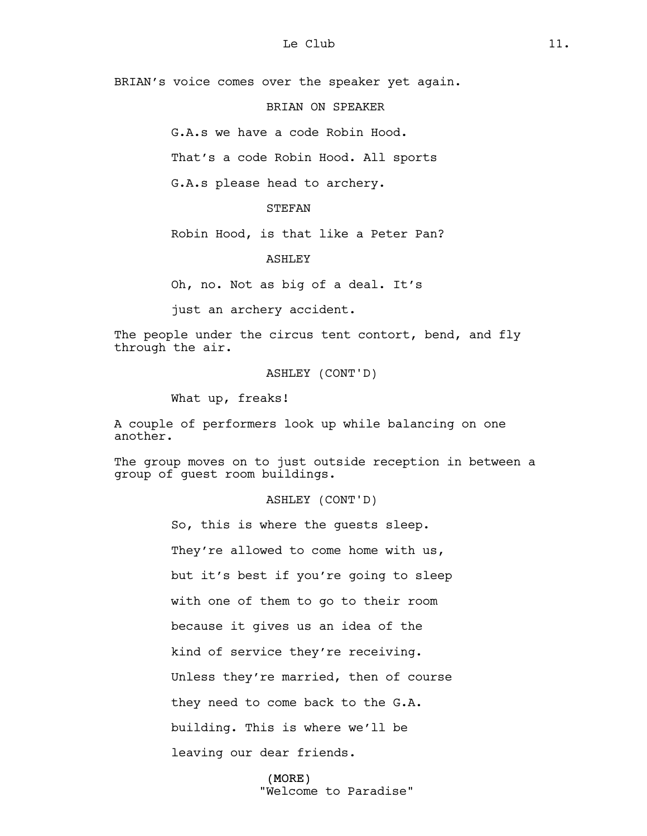BRIAN's voice comes over the speaker yet again.

# BRIAN ON SPEAKER

G.A.s we have a code Robin Hood.

That's a code Robin Hood. All sports

G.A.s please head to archery.

## STEFAN

Robin Hood, is that like a Peter Pan?

#### **ASHLEY**

Oh, no. Not as big of a deal. It's

just an archery accident.

The people under the circus tent contort, bend, and fly through the air.

ASHLEY (CONT'D)

What up, freaks!

A couple of performers look up while balancing on one another.

The group moves on to just outside reception in between a group of guest room buildings.

## ASHLEY (CONT'D)

So, this is where the guests sleep. They're allowed to come home with us, but it's best if you're going to sleep with one of them to go to their room because it gives us an idea of the kind of service they're receiving. Unless they're married, then of course they need to come back to the G.A. building. This is where we'll be leaving our dear friends.

#### (MORE)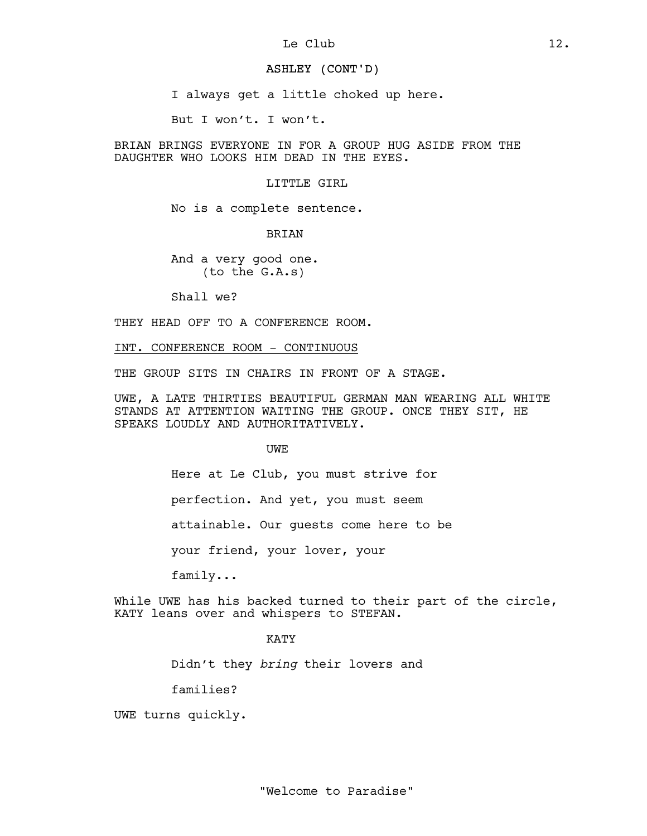## ASHLEY (CONT'D)

I always get a little choked up here.

But I won't. I won't.

BRIAN BRINGS EVERYONE IN FOR A GROUP HUG ASIDE FROM THE DAUGHTER WHO LOOKS HIM DEAD IN THE EYES.

## LITTLE GIRL

No is a complete sentence.

BRIAN

And a very good one. (to the G.A.s)

Shall we?

THEY HEAD OFF TO A CONFERENCE ROOM.

INT. CONFERENCE ROOM - CONTINUOUS

THE GROUP SITS IN CHAIRS IN FRONT OF A STAGE.

UWE, A LATE THIRTIES BEAUTIFUL GERMAN MAN WEARING ALL WHITE STANDS AT ATTENTION WAITING THE GROUP. ONCE THEY SIT, HE SPEAKS LOUDLY AND AUTHORITATIVELY.

UWE

Here at Le Club, you must strive for

perfection. And yet, you must seem

attainable. Our guests come here to be

your friend, your lover, your

family...

While UWE has his backed turned to their part of the circle, KATY leans over and whispers to STEFAN.

## KATY

Didn't they *bring* their lovers and

families?

UWE turns quickly.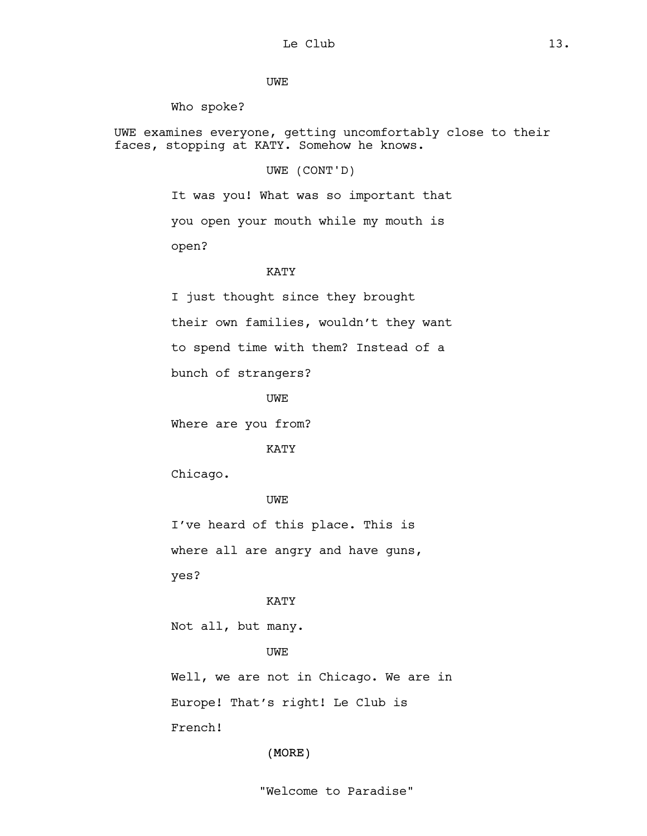UWE

Who spoke?

UWE examines everyone, getting uncomfortably close to their faces, stopping at KATY. Somehow he knows.

UWE (CONT'D)

It was you! What was so important that you open your mouth while my mouth is open?

# KATY

I just thought since they brought their own families, wouldn't they want to spend time with them? Instead of a bunch of strangers?

UWE

Where are you from?

KATY

Chicago.

UWE

I've heard of this place. This is where all are angry and have guns, yes?

# KATY

Not all, but many.

UWE

Well, we are not in Chicago. We are in Europe! That's right! Le Club is French!

(MORE)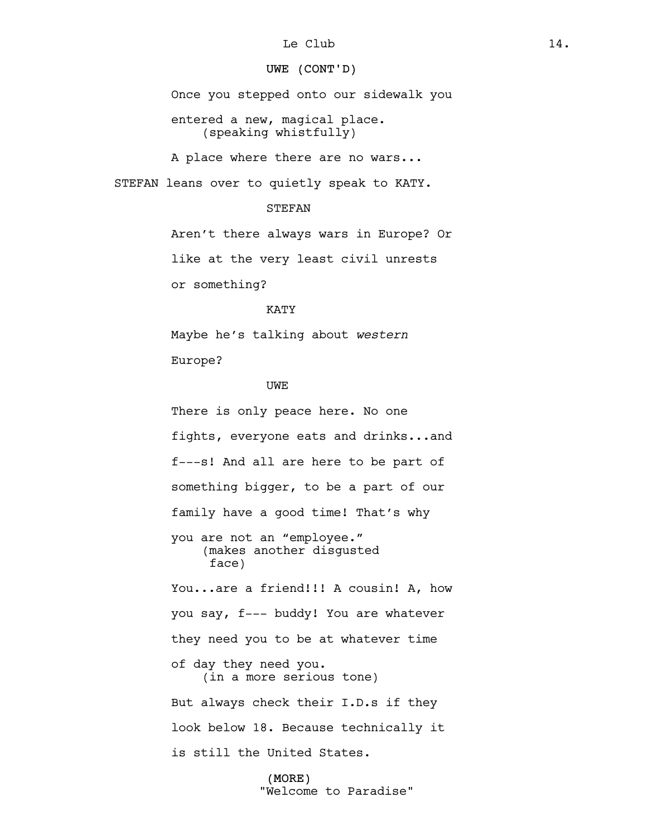# UWE (CONT'D)

Once you stepped onto our sidewalk you

entered a new, magical place. (speaking whistfully)

A place where there are no wars...

STEFAN leans over to quietly speak to KATY.

## STEFAN

Aren't there always wars in Europe? Or

like at the very least civil unrests

or something?

#### KATY

Maybe he's talking about *western* Europe?

## UWE

There is only peace here. No one fights, everyone eats and drinks...and f---s! And all are here to be part of something bigger, to be a part of our family have a good time! That's why you are not an "employee." (makes another disgusted face) You...are a friend!!! A cousin! A, how you say, f--- buddy! You are whatever they need you to be at whatever time of day they need you. (in a more serious tone) But always check their I.D.s if they look below 18. Because technically it is still the United States.

#### (MORE)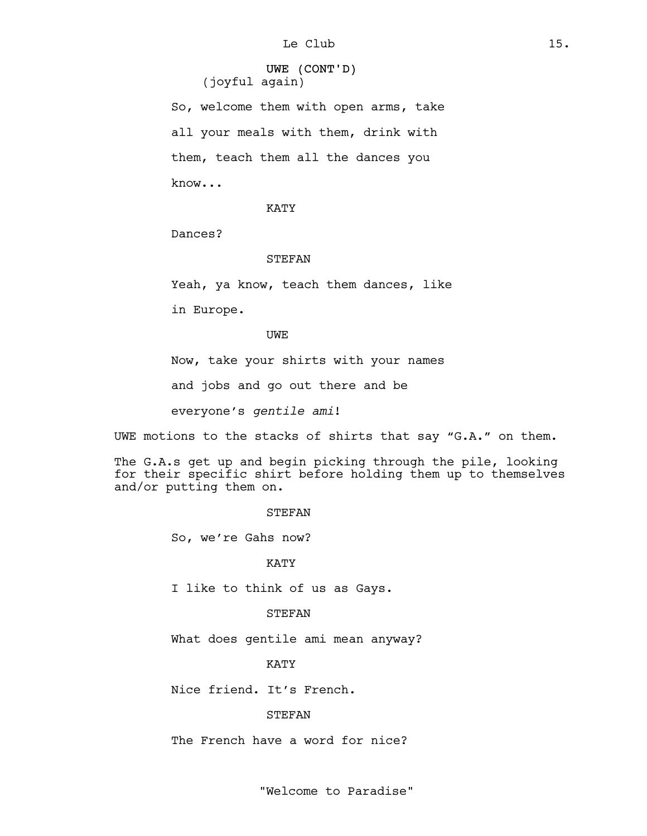UWE (CONT'D) (joyful again)

So, welcome them with open arms, take all your meals with them, drink with them, teach them all the dances you know...

KATY

Dances?

#### STEFAN

Yeah, ya know, teach them dances, like

in Europe.

UWE

Now, take your shirts with your names

and jobs and go out there and be

everyone's *gentile ami*!

UWE motions to the stacks of shirts that say "G.A." on them.

The G.A.s get up and begin picking through the pile, looking for their specific shirt before holding them up to themselves and/or putting them on.

#### STEFAN

So, we're Gahs now?

#### KATY

I like to think of us as Gays.

#### STEFAN

What does gentile ami mean anyway?

KATY

Nice friend. It's French.

#### STEFAN

The French have a word for nice?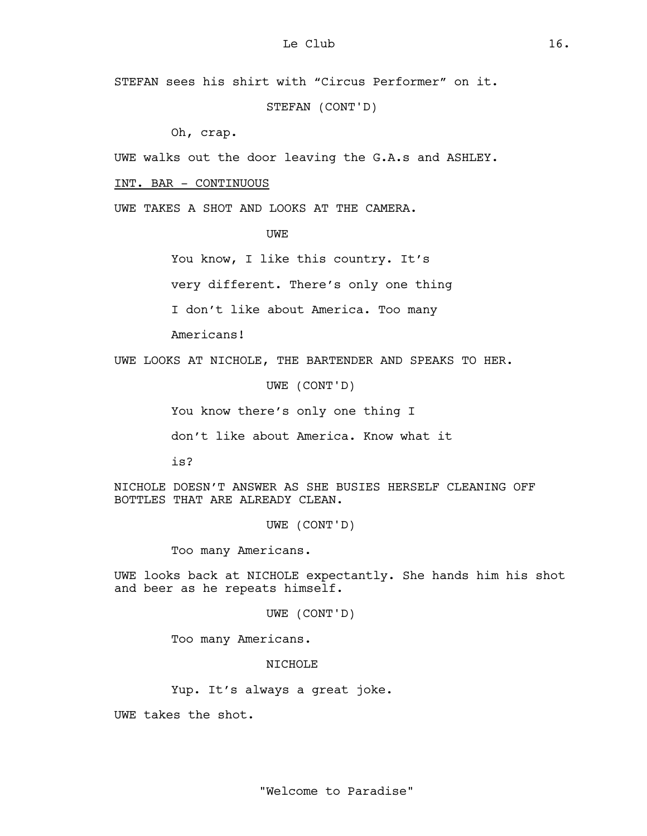STEFAN sees his shirt with "Circus Performer" on it.

STEFAN (CONT'D)

Oh, crap.

UWE walks out the door leaving the G.A.s and ASHLEY.

## INT. BAR - CONTINUOUS

UWE TAKES A SHOT AND LOOKS AT THE CAMERA.

UWE

You know, I like this country. It's

very different. There's only one thing

I don't like about America. Too many

Americans!

UWE LOOKS AT NICHOLE, THE BARTENDER AND SPEAKS TO HER.

UWE (CONT'D)

You know there's only one thing I

don't like about America. Know what it

is?

NICHOLE DOESN'T ANSWER AS SHE BUSIES HERSELF CLEANING OFF BOTTLES THAT ARE ALREADY CLEAN.

UWE (CONT'D)

Too many Americans.

UWE looks back at NICHOLE expectantly. She hands him his shot and beer as he repeats himself.

UWE (CONT'D)

Too many Americans.

NTCHOLE<sup>®</sup>

Yup. It's always a great joke.

UWE takes the shot.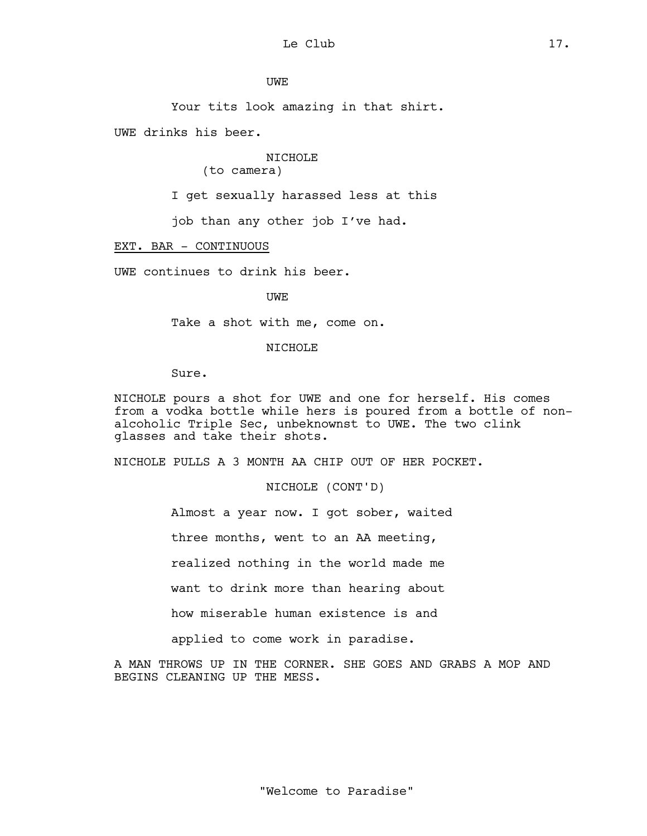UWE

Your tits look amazing in that shirt.

UWE drinks his beer.

NICHOLE

(to camera)

I get sexually harassed less at this

job than any other job I've had.

## EXT. BAR - CONTINUOUS

UWE continues to drink his beer.

UWE

Take a shot with me, come on.

#### NICHOLE

Sure.

NICHOLE pours a shot for UWE and one for herself. His comes from a vodka bottle while hers is poured from a bottle of nonalcoholic Triple Sec, unbeknownst to UWE. The two clink glasses and take their shots.

NICHOLE PULLS A 3 MONTH AA CHIP OUT OF HER POCKET.

NICHOLE (CONT'D)

Almost a year now. I got sober, waited three months, went to an AA meeting, realized nothing in the world made me want to drink more than hearing about how miserable human existence is and applied to come work in paradise.

A MAN THROWS UP IN THE CORNER. SHE GOES AND GRABS A MOP AND BEGINS CLEANING UP THE MESS.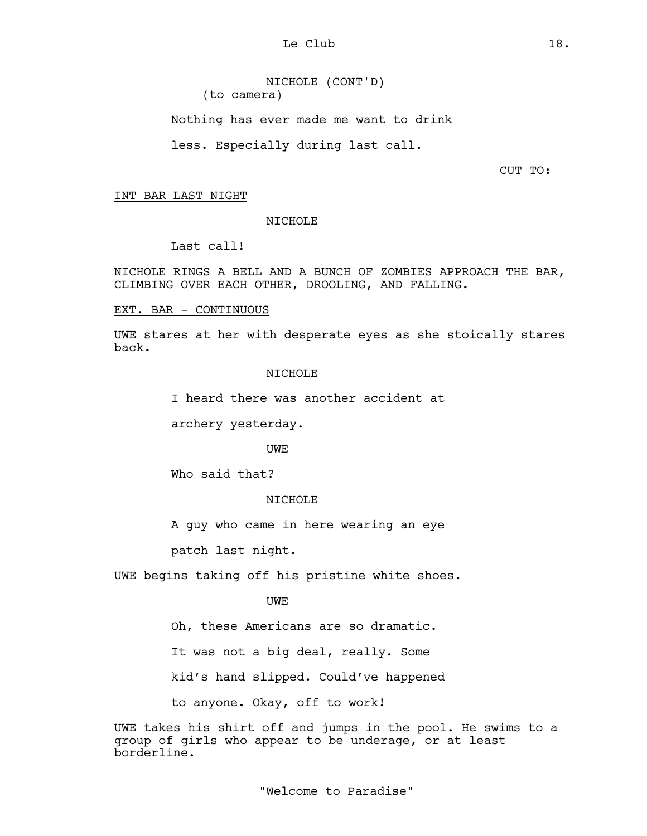NICHOLE (CONT'D) (to camera) Nothing has ever made me want to drink

less. Especially during last call.

CUT TO:

## INT BAR LAST NIGHT

NICHOLE

Last call!

NICHOLE RINGS A BELL AND A BUNCH OF ZOMBIES APPROACH THE BAR, CLIMBING OVER EACH OTHER, DROOLING, AND FALLING.

## EXT. BAR - CONTINUOUS

UWE stares at her with desperate eyes as she stoically stares back.

## NICHOLE

I heard there was another accident at

archery yesterday.

UWE

Who said that?

## NICHOLE

A guy who came in here wearing an eye

patch last night.

UWE begins taking off his pristine white shoes.

# UWE

Oh, these Americans are so dramatic.

It was not a big deal, really. Some

kid's hand slipped. Could've happened

to anyone. Okay, off to work!

UWE takes his shirt off and jumps in the pool. He swims to a group of girls who appear to be underage, or at least borderline.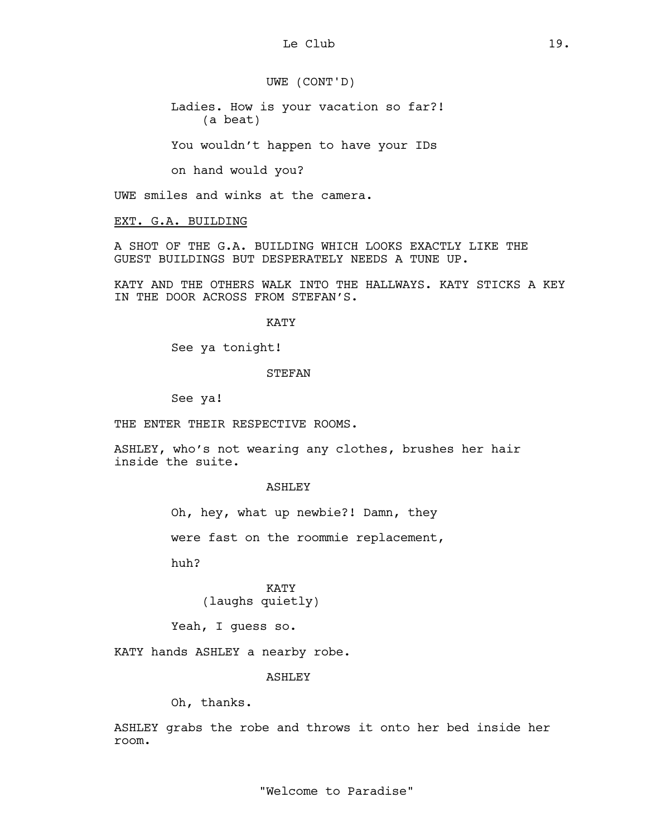UWE (CONT'D)

Ladies. How is your vacation so far?! (a beat)

You wouldn't happen to have your IDs

on hand would you?

UWE smiles and winks at the camera.

EXT. G.A. BUILDING

A SHOT OF THE G.A. BUILDING WHICH LOOKS EXACTLY LIKE THE GUEST BUILDINGS BUT DESPERATELY NEEDS A TUNE UP.

KATY AND THE OTHERS WALK INTO THE HALLWAYS. KATY STICKS A KEY IN THE DOOR ACROSS FROM STEFAN'S.

KATY

See ya tonight!

#### STEFAN

See ya!

THE ENTER THEIR RESPECTIVE ROOMS.

ASHLEY, who's not wearing any clothes, brushes her hair inside the suite.

#### ASHLEY

Oh, hey, what up newbie?! Damn, they

were fast on the roommie replacement,

huh?

KATY (laughs quietly)

Yeah, I guess so.

KATY hands ASHLEY a nearby robe.

ASHLEY

Oh, thanks.

ASHLEY grabs the robe and throws it onto her bed inside her room.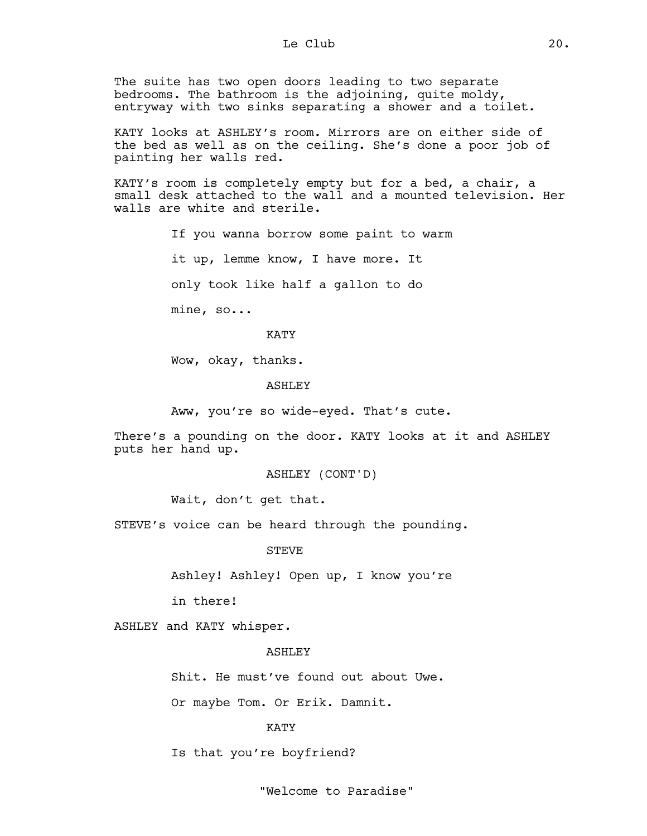The suite has two open doors leading to two separate bedrooms. The bathroom is the adjoining, quite moldy, entryway with two sinks separating a shower and a toilet.

KATY looks at ASHLEY's room. Mirrors are on either side of the bed as well as on the ceiling. She's done a poor job of painting her walls red.

KATY's room is completely empty but for a bed, a chair, a small desk attached to the wall and a mounted television. Her walls are white and sterile.

> If you wanna borrow some paint to warm it up, lemme know, I have more. It only took like half a gallon to do mine, so...

#### KATY

Wow, okay, thanks.

#### **ASHLEY**

Aww, you're so wide-eyed. That's cute.

There's a pounding on the door. KATY looks at it and ASHLEY puts her hand up.

#### ASHLEY (CONT'D)

Wait, don't get that.

STEVE's voice can be heard through the pounding.

**STEVE** 

Ashley! Ashley! Open up, I know you're

in there!

ASHLEY and KATY whisper.

## ASHLEY

Shit. He must've found out about Uwe.

Or maybe Tom. Or Erik. Damnit.

#### KATY

Is that you're boyfriend?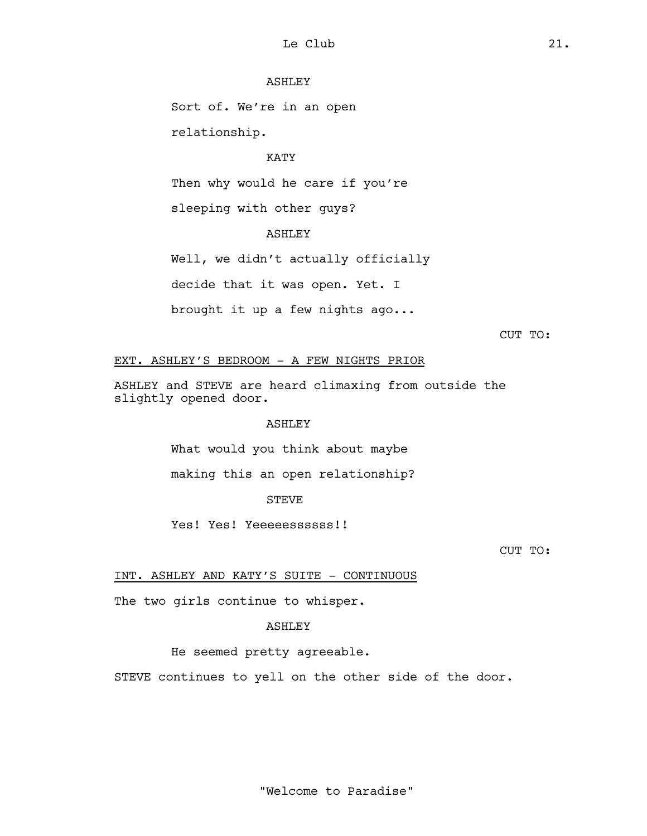## ASHLEY

Sort of. We're in an open relationship.

## KATY

Then why would he care if you're

sleeping with other guys?

# ASHLEY

Well, we didn't actually officially decide that it was open. Yet. I

brought it up a few nights ago...

```
CUT TO:
```
# EXT. ASHLEY'S BEDROOM - A FEW NIGHTS PRIOR

ASHLEY and STEVE are heard climaxing from outside the slightly opened door.

## ASHLEY

What would you think about maybe

making this an open relationship?

## **STEVE**

Yes! Yes! Yeeeeessssss!!

CUT TO:

INT. ASHLEY AND KATY'S SUITE - CONTINUOUS

The two girls continue to whisper.

# ASHLEY

# He seemed pretty agreeable.

STEVE continues to yell on the other side of the door.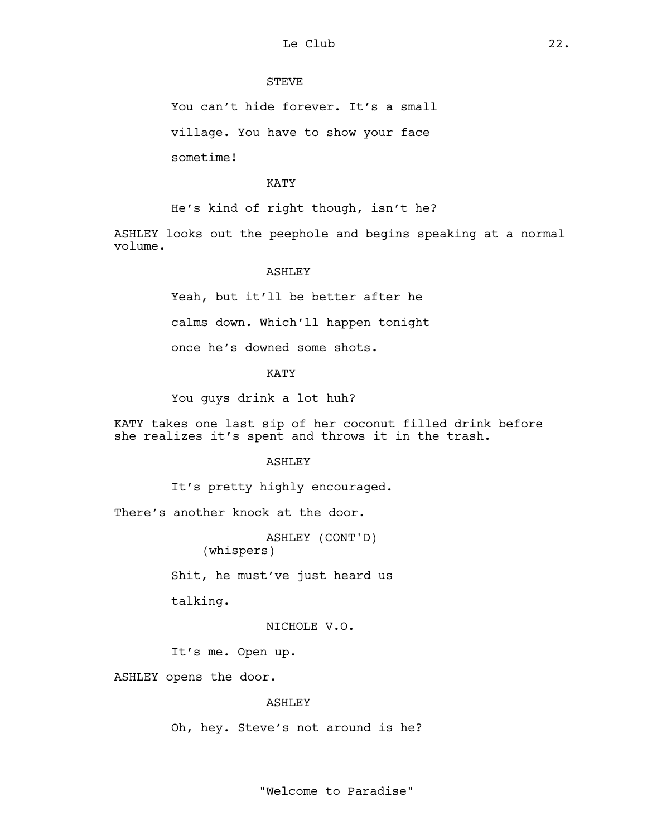# STEVE

You can't hide forever. It's a small

village. You have to show your face

sometime!

## KATY

He's kind of right though, isn't he?

ASHLEY looks out the peephole and begins speaking at a normal volume.

## **ASHLEY**

Yeah, but it'll be better after he

calms down. Which'll happen tonight

once he's downed some shots.

## KATY

You guys drink a lot huh?

KATY takes one last sip of her coconut filled drink before she realizes it's spent and throws it in the trash.

#### ASHLEY

It's pretty highly encouraged.

There's another knock at the door.

ASHLEY (CONT'D) (whispers)

Shit, he must've just heard us

talking.

NICHOLE V.O.

It's me. Open up.

ASHLEY opens the door.

#### ASHLEY

Oh, hey. Steve's not around is he?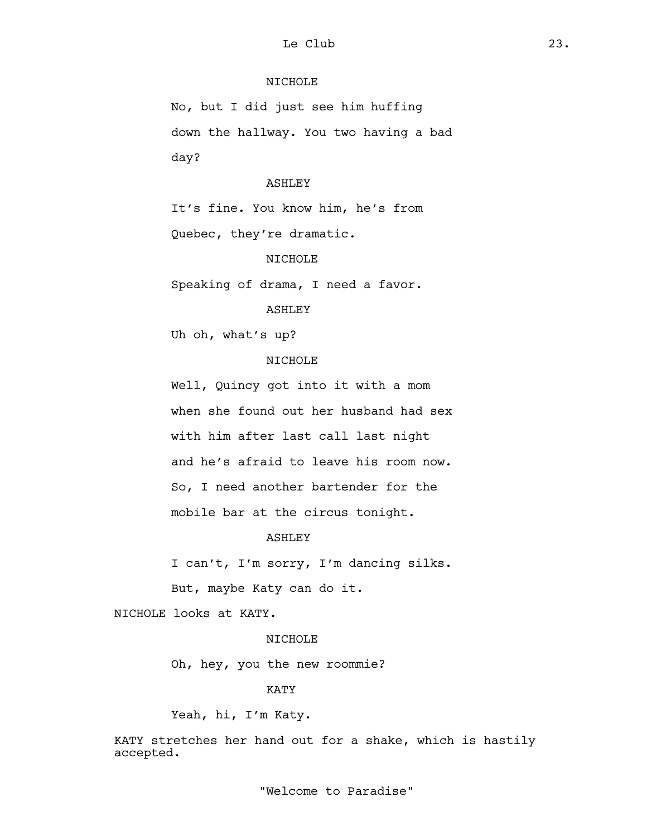# NICHOLE

No, but I did just see him huffing down the hallway. You two having a bad day?

#### ASHLEY

It's fine. You know him, he's from Quebec, they're dramatic.

## NICHOLE

Speaking of drama, I need a favor.

#### ASHLEY

Uh oh, what's up?

# NICHOLE

Well, Quincy got into it with a mom when she found out her husband had sex with him after last call last night and he's afraid to leave his room now. So, I need another bartender for the mobile bar at the circus tonight.

## ASHLEY

I can't, I'm sorry, I'm dancing silks.

But, maybe Katy can do it.

NICHOLE looks at KATY.

## **NTCHOLE**

Oh, hey, you the new roommie?

#### KATY

Yeah, hi, I'm Katy.

KATY stretches her hand out for a shake, which is hastily accepted.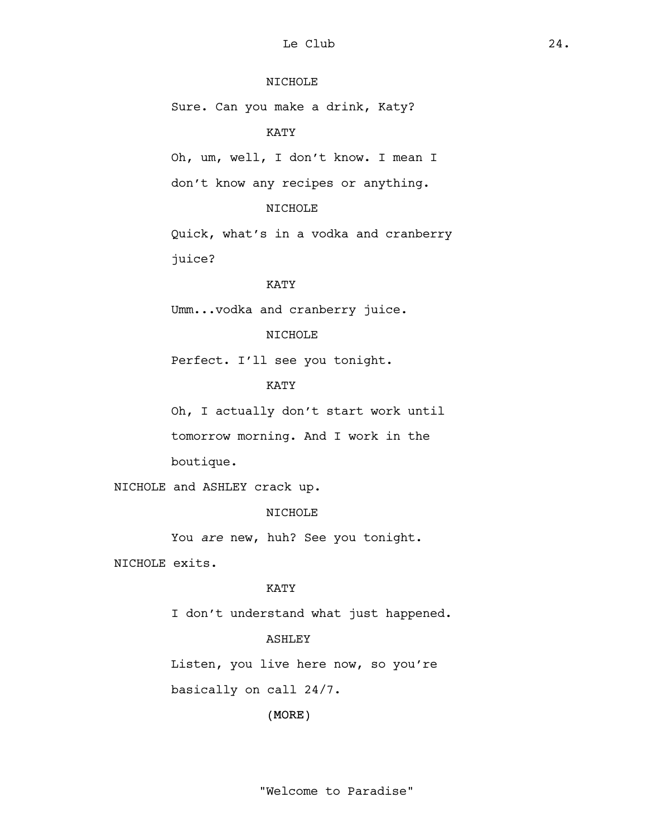# NICHOLE

Sure. Can you make a drink, Katy?

## KATY

Oh, um, well, I don't know. I mean I don't know any recipes or anything.

# NICHOLE

Quick, what's in a vodka and cranberry juice?

# KATY

Umm...vodka and cranberry juice.

## NICHOLE

Perfect. I'll see you tonight.

# KATY

Oh, I actually don't start work until tomorrow morning. And I work in the boutique.

NICHOLE and ASHLEY crack up.

## NICHOLE

You *are* new, huh? See you tonight.

NICHOLE exits.

#### KATY

I don't understand what just happened.

# **ASHLEY**

Listen, you live here now, so you're basically on call 24/7.

(MORE)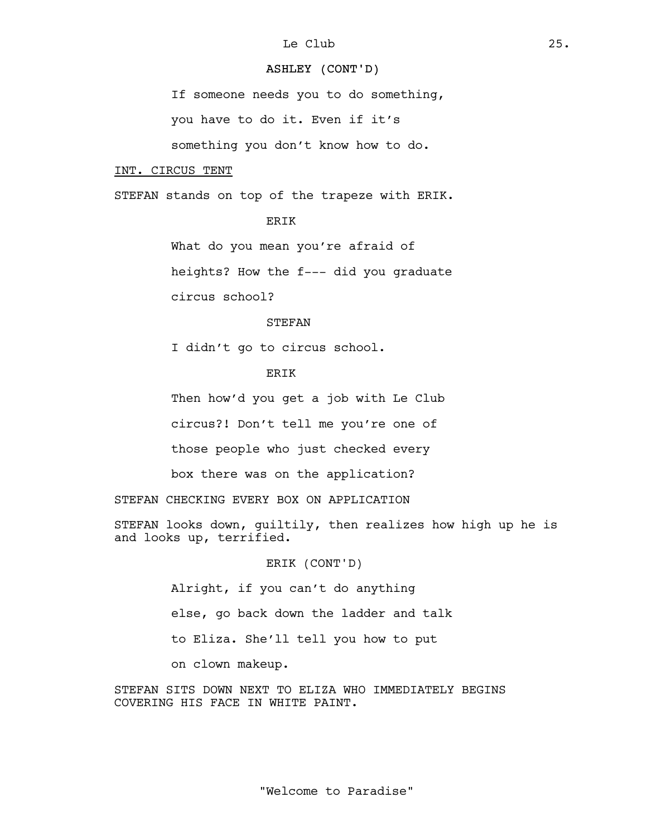# ASHLEY (CONT'D)

If someone needs you to do something,

you have to do it. Even if it's

something you don't know how to do.

#### INT. CIRCUS TENT

STEFAN stands on top of the trapeze with ERIK.

**ERIK** 

What do you mean you're afraid of

heights? How the f--- did you graduate

circus school?

## **STEFAN**

I didn't go to circus school.

# ERIK

Then how'd you get a job with Le Club

circus?! Don't tell me you're one of

those people who just checked every

box there was on the application?

STEFAN CHECKING EVERY BOX ON APPLICATION

STEFAN looks down, guiltily, then realizes how high up he is and looks up, terrified.

ERIK (CONT'D)

Alright, if you can't do anything else, go back down the ladder and talk to Eliza. She'll tell you how to put on clown makeup.

STEFAN SITS DOWN NEXT TO ELIZA WHO IMMEDIATELY BEGINS COVERING HIS FACE IN WHITE PAINT.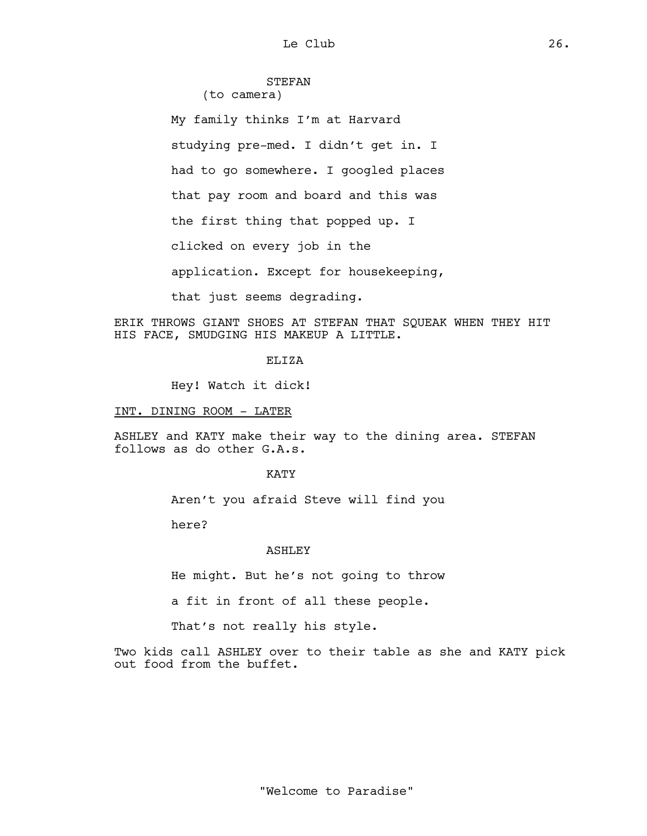## STEFAN (to camera)

My family thinks I'm at Harvard studying pre-med. I didn't get in. I had to go somewhere. I googled places that pay room and board and this was the first thing that popped up. I clicked on every job in the application. Except for housekeeping, that just seems degrading.

ERIK THROWS GIANT SHOES AT STEFAN THAT SQUEAK WHEN THEY HIT HIS FACE, SMUDGING HIS MAKEUP A LITTLE.

## **ELIZA**

Hey! Watch it dick!

#### INT. DINING ROOM - LATER

ASHLEY and KATY make their way to the dining area. STEFAN follows as do other G.A.s.

**KATY** 

Aren't you afraid Steve will find you

here?

#### **ASHLEY**

He might. But he's not going to throw

a fit in front of all these people.

That's not really his style.

Two kids call ASHLEY over to their table as she and KATY pick out food from the buffet.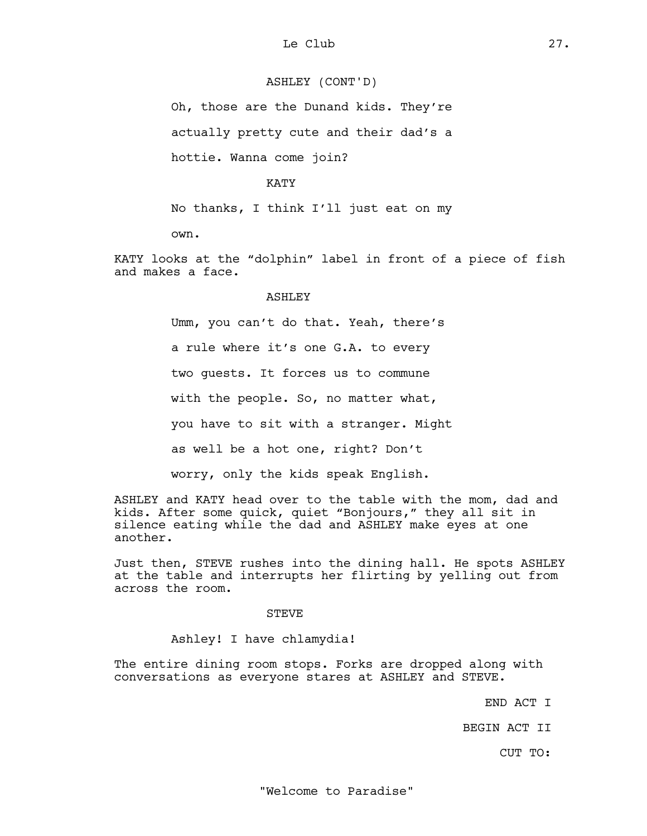## ASHLEY (CONT'D)

Oh, those are the Dunand kids. They're actually pretty cute and their dad's a hottie. Wanna come join?

KATY

No thanks, I think I'll just eat on my

own.

KATY looks at the "dolphin" label in front of a piece of fish and makes a face.

## ASHLEY

Umm, you can't do that. Yeah, there's a rule where it's one G.A. to every two guests. It forces us to commune with the people. So, no matter what, you have to sit with a stranger. Might as well be a hot one, right? Don't worry, only the kids speak English.

ASHLEY and KATY head over to the table with the mom, dad and kids. After some quick, quiet "Bonjours," they all sit in silence eating while the dad and ASHLEY make eyes at one another.

Just then, STEVE rushes into the dining hall. He spots ASHLEY at the table and interrupts her flirting by yelling out from across the room.

#### **STEVE**

Ashley! I have chlamydia!

The entire dining room stops. Forks are dropped along with conversations as everyone stares at ASHLEY and STEVE.

END ACT I

BEGIN ACT II

CUT TO: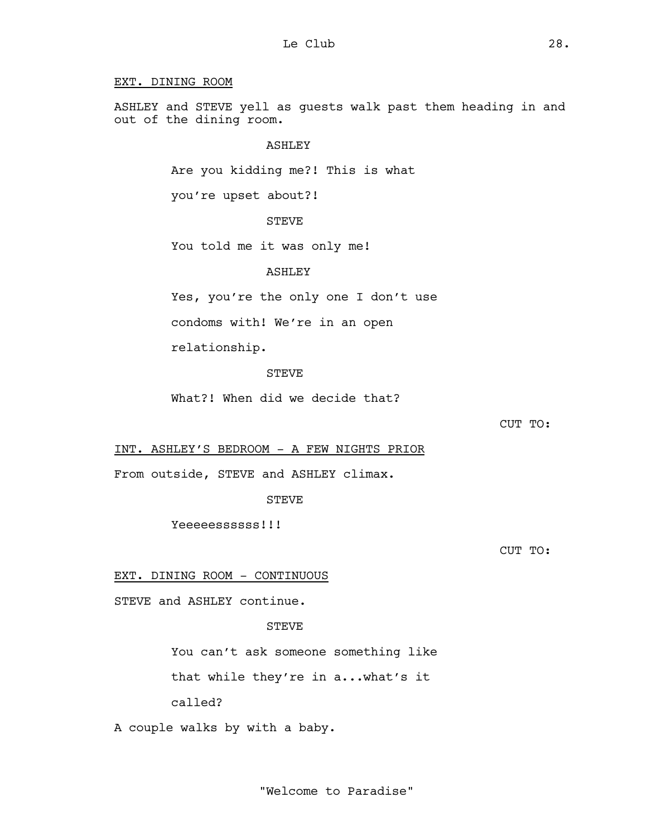## EXT. DINING ROOM

ASHLEY and STEVE yell as guests walk past them heading in and out of the dining room.

## ASHLEY

Are you kidding me?! This is what

you're upset about?!

## STEVE

You told me it was only me!

#### **ASHLEY**

Yes, you're the only one I don't use

condoms with! We're in an open

relationship.

## STEVE

What?! When did we decide that?

CUT TO:

INT. ASHLEY'S BEDROOM - A FEW NIGHTS PRIOR

From outside, STEVE and ASHLEY climax.

**STEVE** 

Yeeeeessssss!!!

CUT TO:

# EXT. DINING ROOM - CONTINUOUS

STEVE and ASHLEY continue.

## STEVE

You can't ask someone something like

that while they're in a...what's it

called?

A couple walks by with a baby.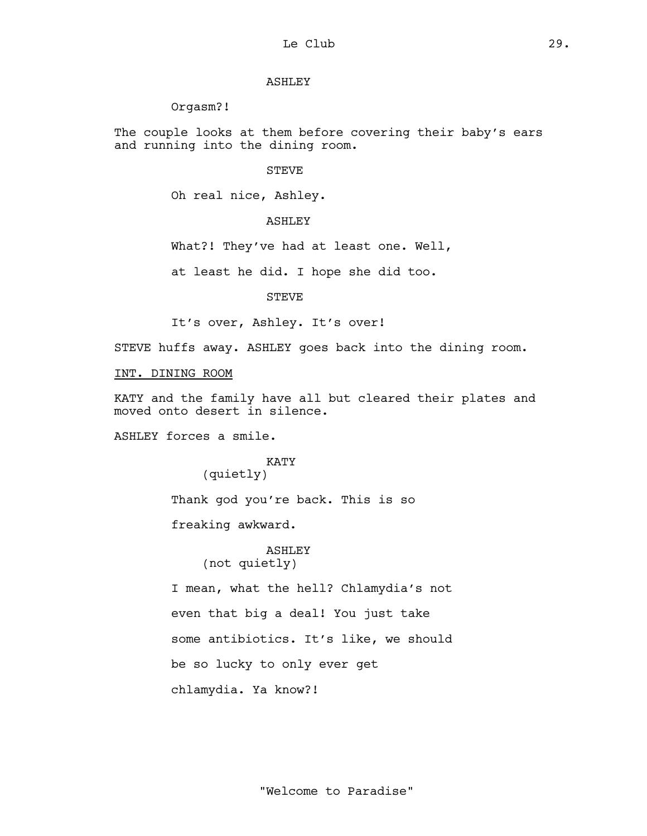## ASHLEY

## Orgasm?!

The couple looks at them before covering their baby's ears and running into the dining room.

#### STEVE

Oh real nice, Ashley.

## ASHLEY

What?! They've had at least one. Well,

at least he did. I hope she did too.

STEVE

It's over, Ashley. It's over!

STEVE huffs away. ASHLEY goes back into the dining room.

#### INT. DINING ROOM

KATY and the family have all but cleared their plates and moved onto desert in silence.

ASHLEY forces a smile.

# KATY

(quietly)

Thank god you're back. This is so

freaking awkward.

ASHLEY (not quietly)

I mean, what the hell? Chlamydia's not even that big a deal! You just take some antibiotics. It's like, we should be so lucky to only ever get chlamydia. Ya know?!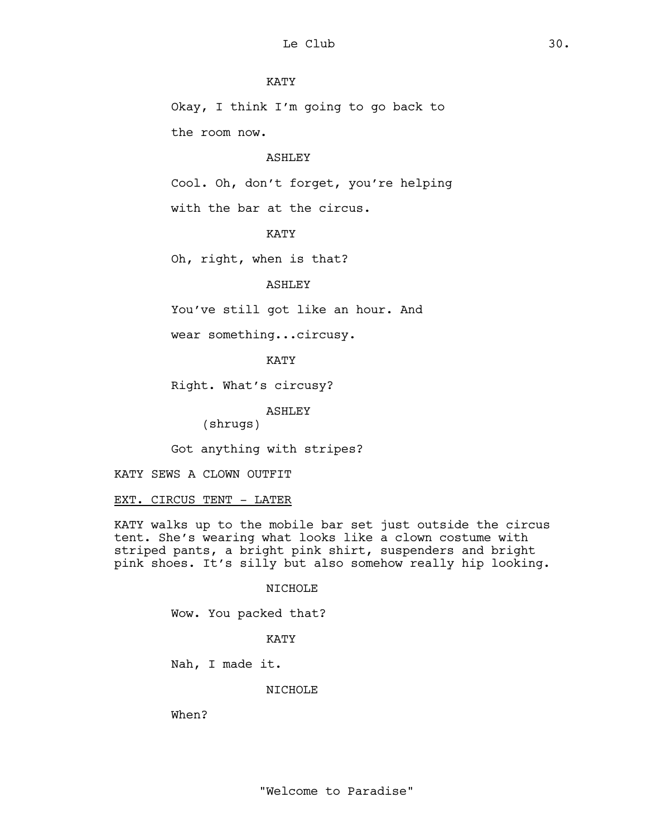## KATY

Okay, I think I'm going to go back to the room now.

#### ASHLEY

Cool. Oh, don't forget, you're helping

with the bar at the circus.

## KATY

Oh, right, when is that?

# ASHLEY

You've still got like an hour. And

wear something...circusy.

KATY

Right. What's circusy?

ASHLEY

(shrugs)

Got anything with stripes?

KATY SEWS A CLOWN OUTFIT

EXT. CIRCUS TENT - LATER

KATY walks up to the mobile bar set just outside the circus tent. She's wearing what looks like a clown costume with striped pants, a bright pink shirt, suspenders and bright pink shoes. It's silly but also somehow really hip looking.

#### NICHOLE

Wow. You packed that?

## KATY

Nah, I made it.

#### NICHOLE

When?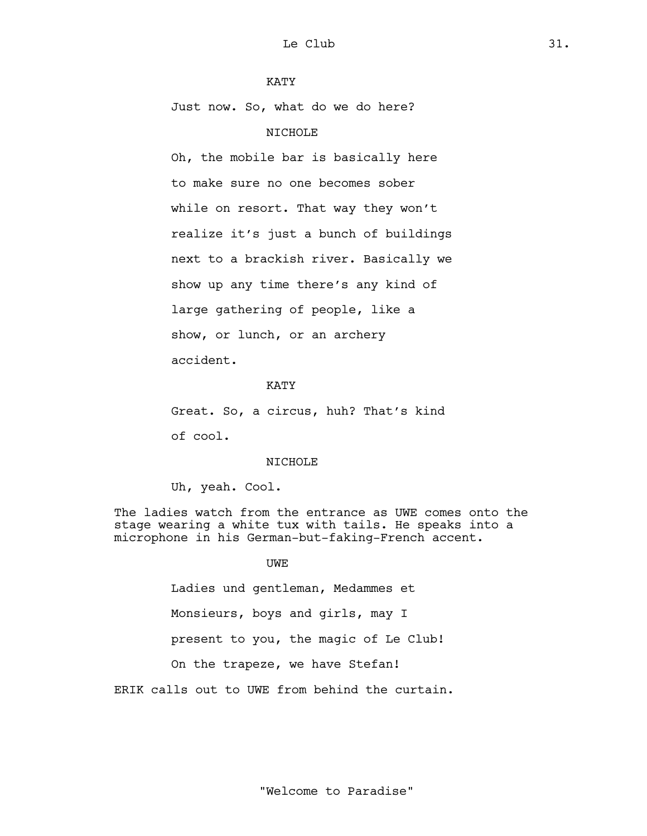## KATY

Just now. So, what do we do here?

## NICHOLE

Oh, the mobile bar is basically here to make sure no one becomes sober while on resort. That way they won't realize it's just a bunch of buildings next to a brackish river. Basically we show up any time there's any kind of large gathering of people, like a show, or lunch, or an archery accident.

# KATY

Great. So, a circus, huh? That's kind of cool.

## NICHOLE

Uh, yeah. Cool.

The ladies watch from the entrance as UWE comes onto the stage wearing a white tux with tails. He speaks into a microphone in his German-but-faking-French accent.

## UWE

Ladies und gentleman, Medammes et Monsieurs, boys and girls, may I present to you, the magic of Le Club! On the trapeze, we have Stefan!

ERIK calls out to UWE from behind the curtain.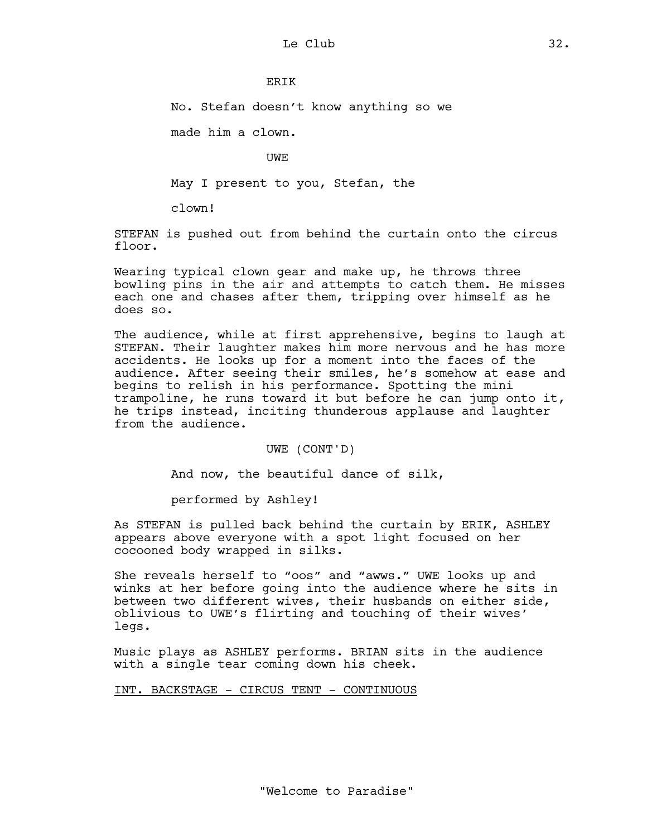## **ERTK**

No. Stefan doesn't know anything so we

made him a clown.

UWE

May I present to you, Stefan, the

clown!

STEFAN is pushed out from behind the curtain onto the circus floor.

Wearing typical clown gear and make up, he throws three bowling pins in the air and attempts to catch them. He misses each one and chases after them, tripping over himself as he does so.

The audience, while at first apprehensive, begins to laugh at STEFAN. Their laughter makes him more nervous and he has more accidents. He looks up for a moment into the faces of the audience. After seeing their smiles, he's somehow at ease and begins to relish in his performance. Spotting the mini trampoline, he runs toward it but before he can jump onto it, he trips instead, inciting thunderous applause and laughter from the audience.

UWE (CONT'D)

And now, the beautiful dance of silk,

performed by Ashley!

As STEFAN is pulled back behind the curtain by ERIK, ASHLEY appears above everyone with a spot light focused on her cocooned body wrapped in silks.

She reveals herself to "oos" and "awws." UWE looks up and winks at her before going into the audience where he sits in between two different wives, their husbands on either side, oblivious to UWE's flirting and touching of their wives' legs.

Music plays as ASHLEY performs. BRIAN sits in the audience with a single tear coming down his cheek.

INT. BACKSTAGE - CIRCUS TENT - CONTINUOUS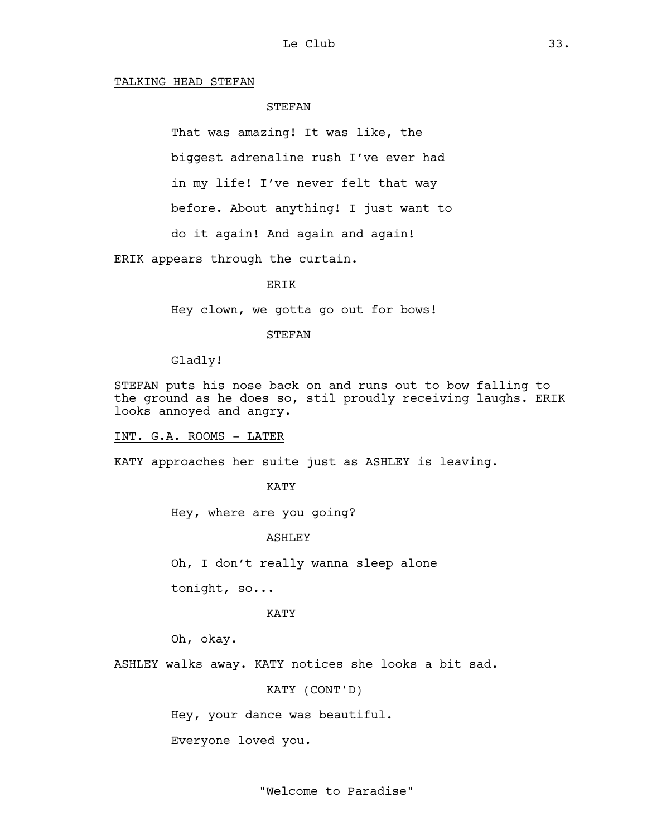#### TALKING HEAD STEFAN

## **STEFAN**

That was amazing! It was like, the

biggest adrenaline rush I've ever had

in my life! I've never felt that way

before. About anything! I just want to

do it again! And again and again!

ERIK appears through the curtain.

#### ERIK

Hey clown, we gotta go out for bows!

#### **STEFAN**

Gladly!

STEFAN puts his nose back on and runs out to bow falling to the ground as he does so, stil proudly receiving laughs. ERIK looks annoyed and angry.

INT. G.A. ROOMS - LATER

KATY approaches her suite just as ASHLEY is leaving.

## KATY

Hey, where are you going?

#### **ASHLEY**

Oh, I don't really wanna sleep alone

tonight, so...

#### KATY

Oh, okay.

ASHLEY walks away. KATY notices she looks a bit sad.

KATY (CONT'D)

Hey, your dance was beautiful.

Everyone loved you.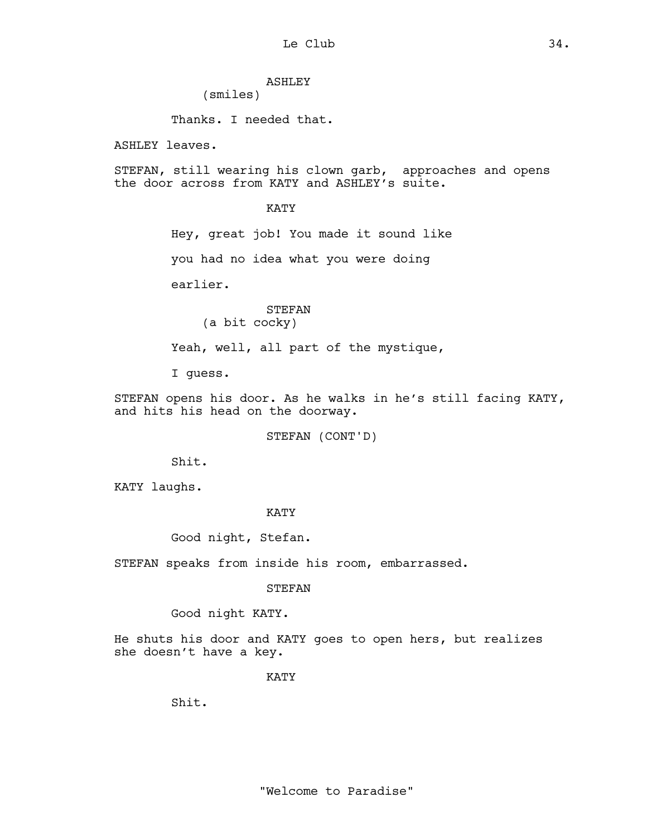# ASHLEY

(smiles)

Thanks. I needed that.

ASHLEY leaves.

STEFAN, still wearing his clown garb, approaches and opens the door across from KATY and ASHLEY's suite.

## KATY

Hey, great job! You made it sound like

you had no idea what you were doing

earlier.

## STEFAN (a bit cocky)

Yeah, well, all part of the mystique,

I guess.

STEFAN opens his door. As he walks in he's still facing KATY, and hits his head on the doorway.

STEFAN (CONT'D)

Shit.

KATY laughs.

## KATY

Good night, Stefan.

STEFAN speaks from inside his room, embarrassed.

## STEFAN

Good night KATY.

He shuts his door and KATY goes to open hers, but realizes she doesn't have a key.

KATY

Shit.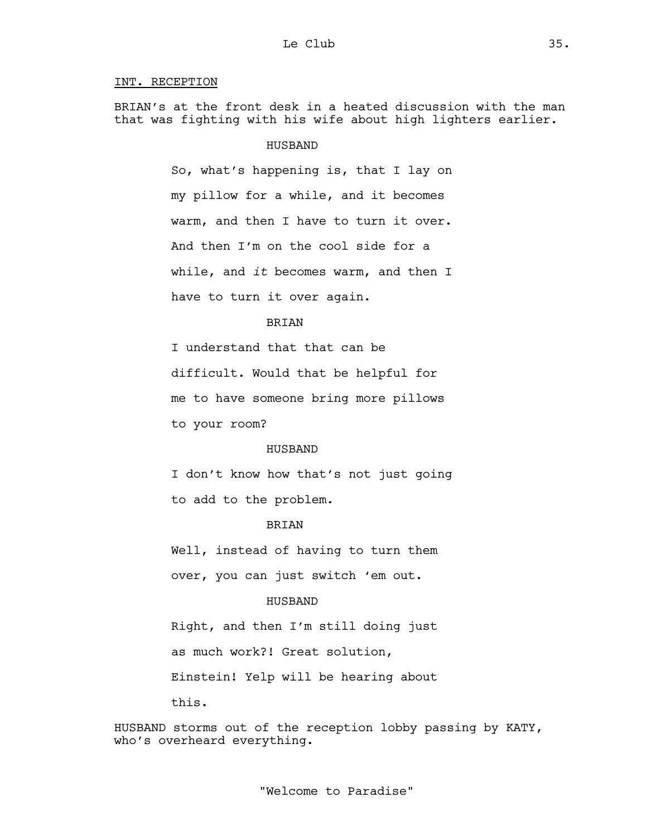# INT. RECEPTION

BRIAN's at the front desk in a heated discussion with the man that was fighting with his wife about high lighters earlier.

## HUSBAND

So, what's happening is, that I lay on my pillow for a while, and it becomes warm, and then I have to turn it over. And then I'm on the cool side for a while, and *it* becomes warm, and then I have to turn it over again.

# BRIAN

I understand that that can be difficult. Would that be helpful for me to have someone bring more pillows to your room?

#### HUSBAND

I don't know how that's not just going to add to the problem.

## BRIAN

Well, instead of having to turn them over, you can just switch 'em out.

## HUSBAND

Right, and then I'm still doing just as much work?! Great solution, Einstein! Yelp will be hearing about this.

HUSBAND storms out of the reception lobby passing by KATY, who's overheard everything.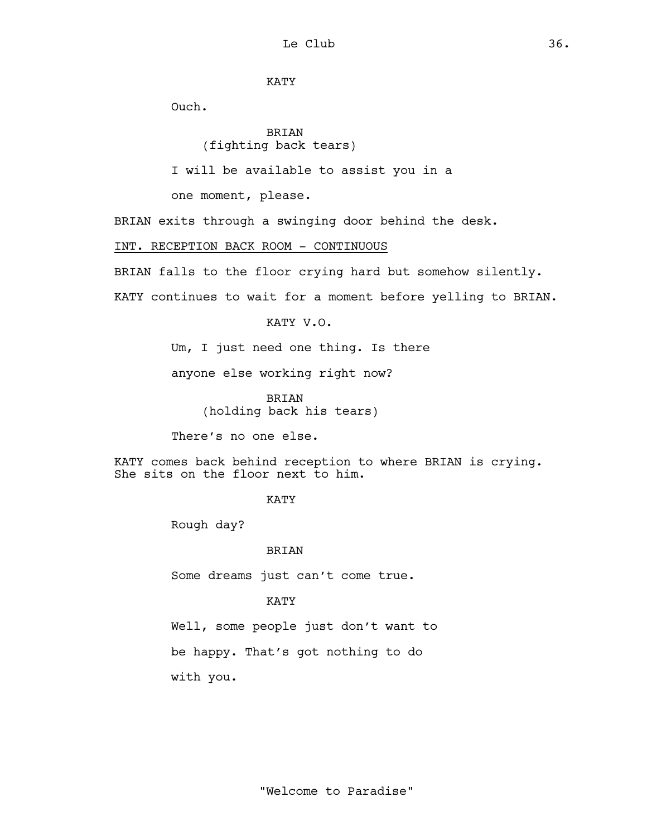KATY

Ouch.

BRIAN (fighting back tears)

I will be available to assist you in a

one moment, please.

BRIAN exits through a swinging door behind the desk.

# INT. RECEPTION BACK ROOM - CONTINUOUS

BRIAN falls to the floor crying hard but somehow silently.

KATY continues to wait for a moment before yelling to BRIAN.

KATY V.O.

Um, I just need one thing. Is there

anyone else working right now?

BRIAN (holding back his tears)

There's no one else.

KATY comes back behind reception to where BRIAN is crying. She sits on the floor next to him.

KATY

Rough day?

## BRIAN

Some dreams just can't come true.

# KATY

Well, some people just don't want to be happy. That's got nothing to do with you.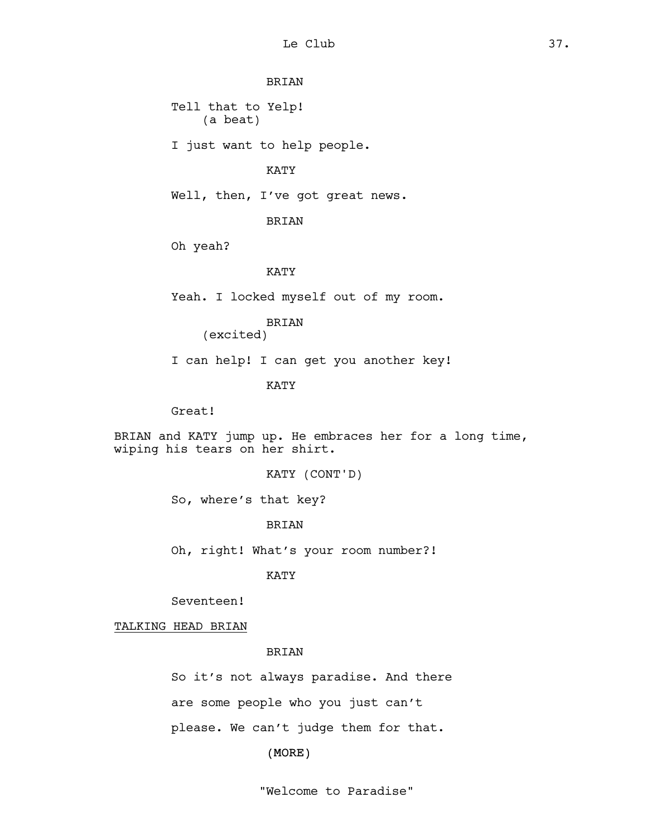# BRIAN

Tell that to Yelp! (a beat)

I just want to help people.

#### KATY

Well, then, I've got great news.

BRIAN

Oh yeah?

#### KATY

Yeah. I locked myself out of my room.

BRIAN

(excited)

I can help! I can get you another key!

KATY

Great!

BRIAN and KATY jump up. He embraces her for a long time, wiping his tears on her shirt.

KATY (CONT'D)

So, where's that key?

BRIAN

Oh, right! What's your room number?!

KATY

Seventeen!

TALKING HEAD BRIAN

BRIAN

So it's not always paradise. And there are some people who you just can't please. We can't judge them for that.

(MORE)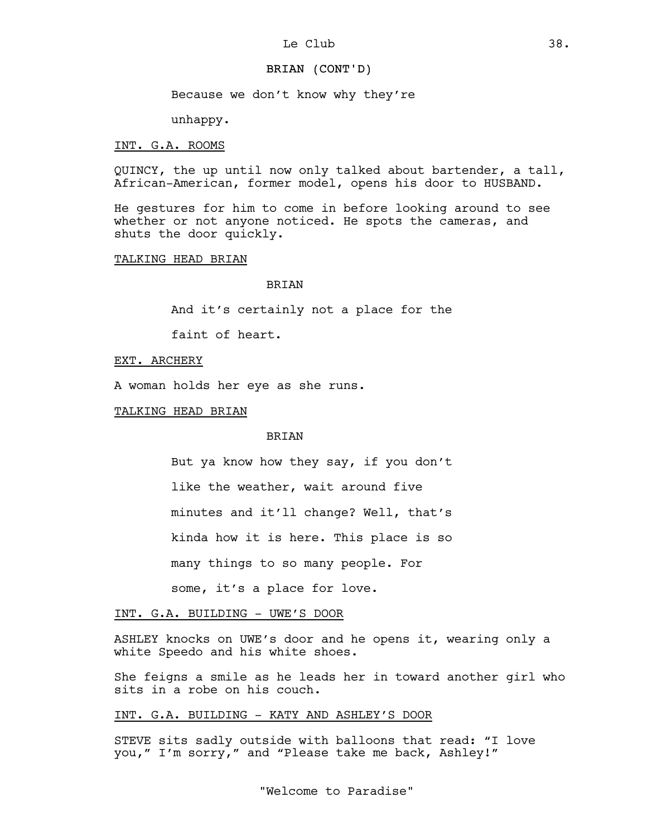#### BRIAN (CONT'D)

Because we don't know why they're

unhappy.

#### INT. G.A. ROOMS

QUINCY, the up until now only talked about bartender, a tall, African-American, former model, opens his door to HUSBAND.

He gestures for him to come in before looking around to see whether or not anyone noticed. He spots the cameras, and shuts the door quickly.

TALKING HEAD BRIAN

#### BRIAN

And it's certainly not a place for the

faint of heart.

## EXT. ARCHERY

A woman holds her eye as she runs.

TALKING HEAD BRIAN

## BRIAN

But ya know how they say, if you don't like the weather, wait around five minutes and it'll change? Well, that's kinda how it is here. This place is so

many things to so many people. For

some, it's a place for love.

## INT. G.A. BUILDING - UWE'S DOOR

ASHLEY knocks on UWE's door and he opens it, wearing only a white Speedo and his white shoes.

She feigns a smile as he leads her in toward another girl who sits in a robe on his couch.

#### INT. G.A. BUILDING - KATY AND ASHLEY'S DOOR

STEVE sits sadly outside with balloons that read: "I love you," I'm sorry," and "Please take me back, Ashley!"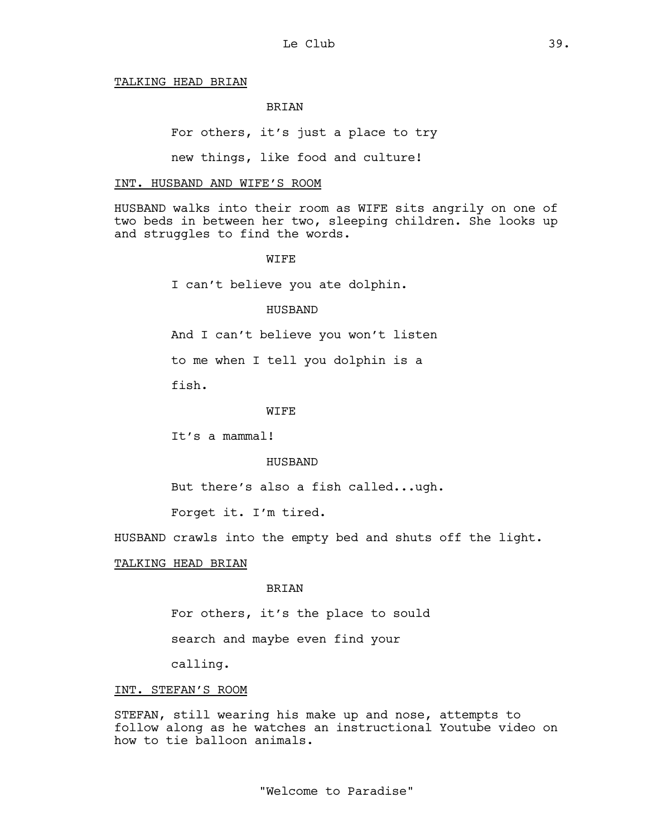#### TALKING HEAD BRIAN

## BRIAN

For others, it's just a place to try

new things, like food and culture!

#### INT. HUSBAND AND WIFE'S ROOM

HUSBAND walks into their room as WIFE sits angrily on one of two beds in between her two, sleeping children. She looks up and struggles to find the words.

#### WIFE

I can't believe you ate dolphin.

#### HUSBAND

And I can't believe you won't listen

to me when I tell you dolphin is a

fish.

#### **WIFE**

It's a mammal!

#### HUSBAND

But there's also a fish called...ugh.

Forget it. I'm tired.

HUSBAND crawls into the empty bed and shuts off the light.

# TALKING HEAD BRIAN

#### BRIAN

For others, it's the place to sould

search and maybe even find your

calling.

#### INT. STEFAN'S ROOM

STEFAN, still wearing his make up and nose, attempts to follow along as he watches an instructional Youtube video on how to tie balloon animals.